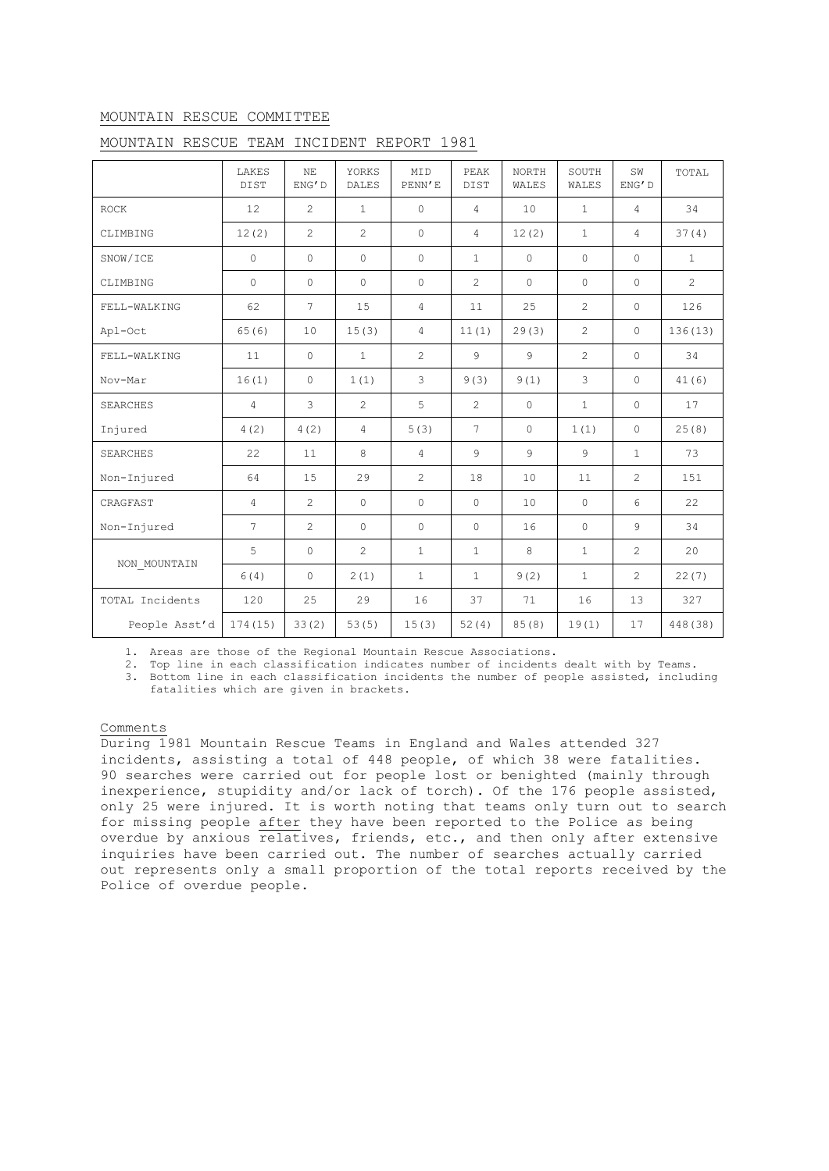## MOUNTAIN RESCUE COMMITTEE

|                 | LAKES<br>DIST   | NE<br>ENG'D     | YORKS<br><b>DALES</b> | MID<br>PENN'E  | PEAK<br><b>DIST</b> | <b>NORTH</b><br>WALES | SOUTH<br>WALES | SW<br>ENG'D    | TOTAL          |
|-----------------|-----------------|-----------------|-----------------------|----------------|---------------------|-----------------------|----------------|----------------|----------------|
| <b>ROCK</b>     | 12              | 2               | $\mathbf{1}$          | $\Omega$       | $\overline{4}$      | 10                    | $\mathbf{1}$   | $\overline{4}$ | 34             |
| CLIMBING        | 12(2)           | $\overline{2}$  | $\overline{2}$        | $\Omega$       | $\overline{4}$      | 12(2)                 | $\mathbf{1}$   | $\overline{4}$ | 37(4)          |
| SNOW/ICE        | $\circ$         | $\circ$         | $\circ$               | $\circ$        | $\mathbf{1}$        | $\circ$               | $\circ$        | $\circ$        | $\mathbf{1}$   |
| CLIMBING        | $\circ$         | $\circ$         | $\circ$               | $\circ$        | $\overline{2}$      | $\circ$               | $\circ$        | $\circ$        | $\overline{c}$ |
| FELL-WALKING    | 62              | $7\phantom{.0}$ | 15                    | $\overline{4}$ | 11                  | 25                    | $\overline{2}$ | $\circ$        | 126            |
| Apl-Oct         | 65(6)           | 10              | 15(3)                 | $\overline{4}$ | 11(1)               | 29(3)                 | $\overline{c}$ | $\Omega$       | 136 (13)       |
| FELL-WALKING    | 11              | $\circ$         | $\mathbf{1}$          | $\overline{2}$ | $\mathcal{G}$       | 9                     | $\overline{2}$ | $\Omega$       | 34             |
| Nov-Mar         | 16(1)           | 0               | 1(1)                  | 3              | 9(3)                | 9(1)                  | 3              | $\circ$        | 41(6)          |
| <b>SEARCHES</b> | $\overline{4}$  | 3               | $\overline{2}$        | 5              | $\overline{2}$      | $\circ$               | $\mathbf{1}$   | $\circ$        | 17             |
| Injured         | 4(2)            | 4(2)            | $\overline{4}$        | 5(3)           | $7\overline{ }$     | $\Omega$              | 1(1)           | $\circ$        | 25(8)          |
| <b>SEARCHES</b> | 22              | 11              | 8                     | $\overline{4}$ | 9                   | 9                     | $\overline{9}$ | $\mathbf{1}$   | 73             |
| Non-Injured     | 64              | 15              | 29                    | $\overline{2}$ | 18                  | 10                    | 11             | 2              | 151            |
| CRAGFAST        | $\overline{4}$  | $\overline{2}$  | $\circ$               | $\Omega$       | $\circ$             | 10                    | $\circ$        | 6              | 22             |
| Non-Injured     | $7\phantom{.0}$ | $\overline{c}$  | $\circ$               | $\circ$        | $\circ$             | 16                    | $\circ$        | $\mathcal{G}$  | 34             |
| NON MOUNTAIN    | 5               | $\circ$         | $\overline{2}$        | $\mathbf{1}$   | $\mathbf{1}$        | 8                     | $\mathbf{1}$   | $\overline{c}$ | 20             |
|                 | 6(4)            | 0               | 2(1)                  | $\mathbf{1}$   | $\mathbf{1}$        | 9(2)                  | $\mathbf{1}$   | $\overline{2}$ | 22(7)          |
| TOTAL Incidents | 120             | 25              | 29                    | 16             | 37                  | 71                    | 16             | 13             | 327            |
| People Asst'd   | 174 (15)        | 33(2)           | 53(5)                 | 15(3)          | 52(4)               | 85(8)                 | 19(1)          | 17             | 448 (38)       |

## MOUNTAIN RESCUE TEAM INCIDENT REPORT 1981

1. Areas are those of the Regional Mountain Rescue Associations.

2. Top line in each classification indicates number of incidents dealt with by Teams.

3. Bottom line in each classification incidents the number of people assisted, including fatalities which are given in brackets.

## Comments

During 1981 Mountain Rescue Teams in England and Wales attended 327 incidents, assisting a total of 448 people, of which 38 were fatalities. 90 searches were carried out for people lost or benighted (mainly through inexperience, stupidity and/or lack of torch). Of the 176 people assisted, only 25 were injured. It is worth noting that teams only turn out to search for missing people after they have been reported to the Police as being overdue by anxious relatives, friends, etc., and then only after extensive inquiries have been carried out. The number of searches actually carried out represents only a small proportion of the total reports received by the Police of overdue people.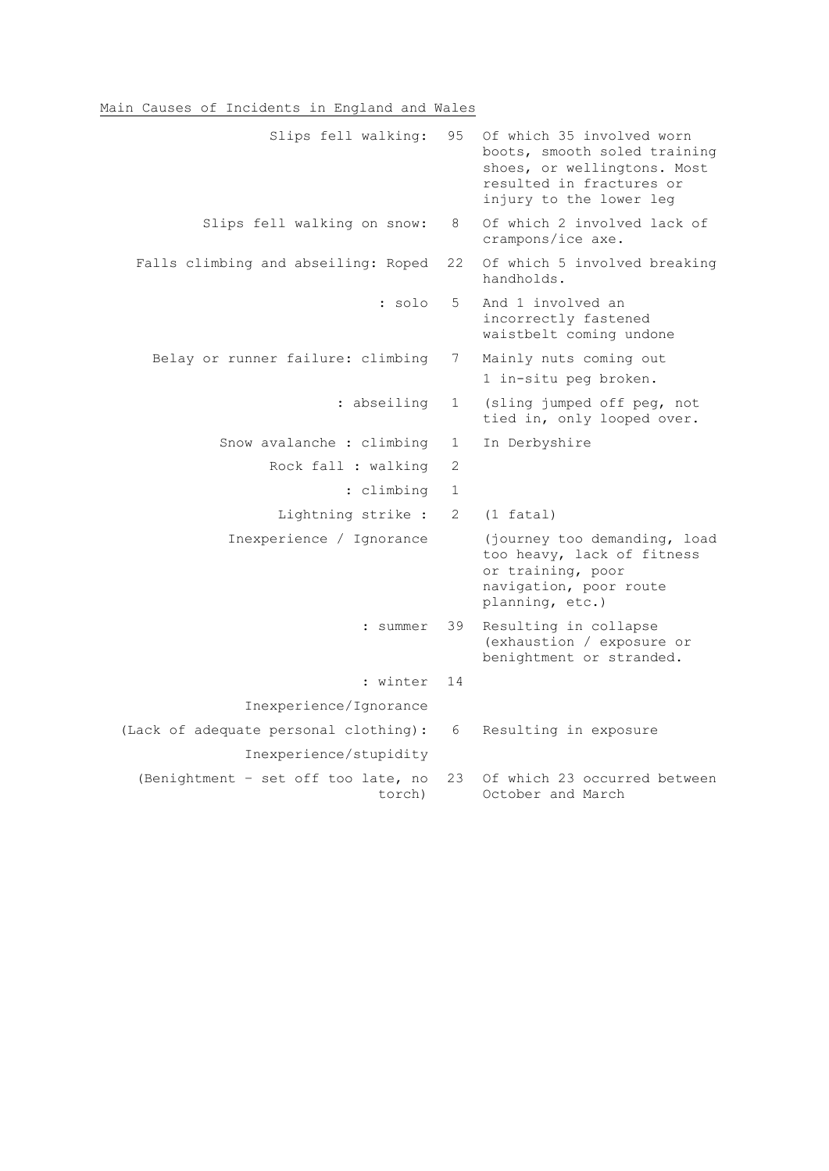## Main Causes of Incidents in England and Wales

| Slips fell walking:                           | 95           | Of which 35 involved worn<br>boots, smooth soled training<br>shoes, or wellingtons. Most<br>resulted in fractures or<br>injury to the lower leg |
|-----------------------------------------------|--------------|-------------------------------------------------------------------------------------------------------------------------------------------------|
| Slips fell walking on snow:                   | 8            | Of which 2 involved lack of<br>crampons/ice axe.                                                                                                |
| Falls climbing and abseiling: Roped           | 22           | Of which 5 involved breaking<br>handholds.                                                                                                      |
| : solo                                        | 5            | And 1 involved an<br>incorrectly fastened<br>waistbelt coming undone                                                                            |
| Belay or runner failure: climbing             | 7            | Mainly nuts coming out<br>1 in-situ peg broken.                                                                                                 |
| : abseiling                                   | $\mathbf 1$  | (sling jumped off peg, not<br>tied in, only looped over.                                                                                        |
| Snow avalanche : climbing                     | 1            | In Derbyshire                                                                                                                                   |
| Rock fall : walking                           | 2            |                                                                                                                                                 |
| : climbing                                    | $\mathbf{1}$ |                                                                                                                                                 |
| Lightning strike :                            | 2            | $(1$ fatal)                                                                                                                                     |
| Inexperience / Ignorance                      |              | (journey too demanding, load<br>too heavy, lack of fitness<br>or training, poor<br>navigation, poor route<br>planning, etc.)                    |
| : summer                                      | 39           | Resulting in collapse<br>(exhaustion / exposure or<br>benightment or stranded.                                                                  |
| : winter                                      | 14           |                                                                                                                                                 |
| Inexperience/Ignorance                        |              |                                                                                                                                                 |
| (Lack of adequate personal clothing):         | 6            | Resulting in exposure                                                                                                                           |
| Inexperience/stupidity                        |              |                                                                                                                                                 |
| (Benightment - set off too late, no<br>torch) | 23           | Of which 23 occurred between<br>October and March                                                                                               |